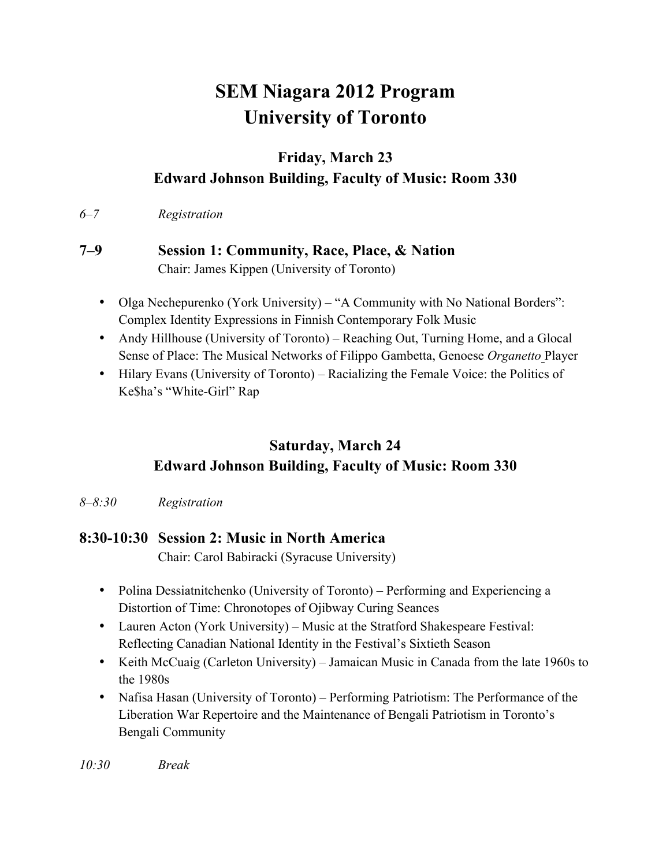# **SEM Niagara 2012 Program University of Toronto**

## **Friday, March 23 Edward Johnson Building, Faculty of Music: Room 330**

*6–7 Registration*

#### **7–9 Session 1: Community, Race, Place, & Nation** Chair: James Kippen (University of Toronto)

- Olga Nechepurenko (York University) "A Community with No National Borders": Complex Identity Expressions in Finnish Contemporary Folk Music
- Andy Hillhouse (University of Toronto) Reaching Out, Turning Home, and a Glocal Sense of Place: The Musical Networks of Filippo Gambetta, Genoese *Organetto* Player
- Hilary Evans (University of Toronto) Racializing the Female Voice: the Politics of Ke\$ha's "White-Girl" Rap

# **Saturday, March 24 Edward Johnson Building, Faculty of Music: Room 330**

*8–8:30 Registration*

## **8:30-10:30 Session 2: Music in North America**

Chair: Carol Babiracki (Syracuse University)

- Polina Dessiatnitchenko (University of Toronto) Performing and Experiencing a Distortion of Time: Chronotopes of Ojibway Curing Seances
- Lauren Acton (York University) Music at the Stratford Shakespeare Festival: Reflecting Canadian National Identity in the Festival's Sixtieth Season
- Keith McCuaig (Carleton University) Jamaican Music in Canada from the late 1960s to the 1980s
- Nafisa Hasan (University of Toronto) Performing Patriotism: The Performance of the Liberation War Repertoire and the Maintenance of Bengali Patriotism in Toronto's Bengali Community

*10:30 Break*